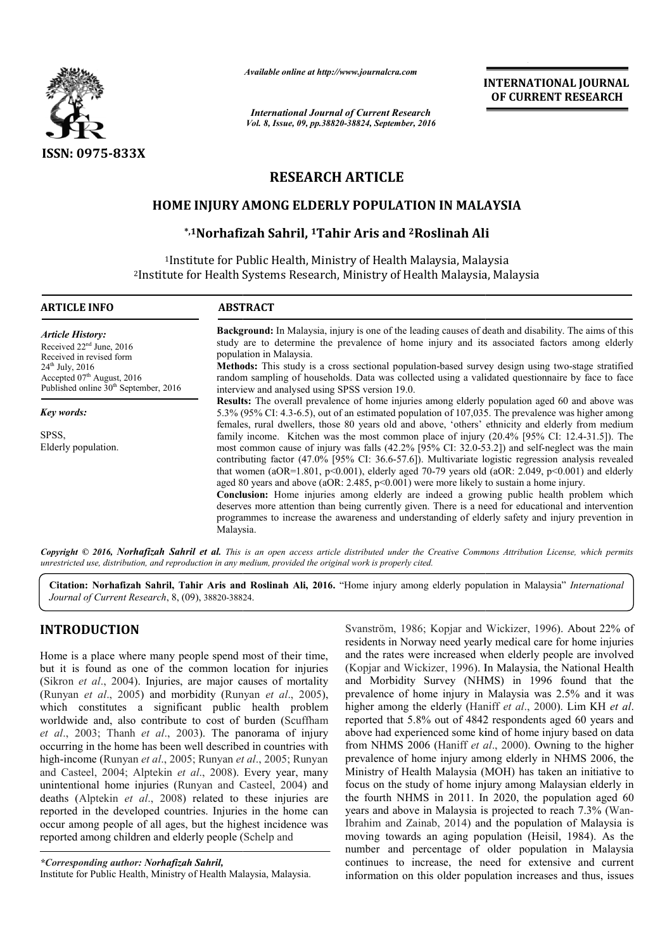

*Available online at http://www.journalcra.com*

*International Journal of Current Research Vol. 8, Issue, 09, pp.38820-38824, September, 2016* INTERNATIONAL INTERNATIONAL JOURNAL OF CURRENT RESEARCH

# RESEARCH ARTICLE

# HOME INJURY AMONG ELDERLY POPULATION IN MALAYSIA

# \*,1Norhafizah Sahril, 1Tahir Aris and <sup>2</sup>Roslinah Ali

<sup>1</sup>Institute for Public Health, Ministry of Health Malaysia, Malaysia 2Institute for Health Systems Research, Ministry of Health Malaysia, Malaysia Institute alth Malaysia, Malaysia<br>of Health Malaysia, Malaysia

| <b>ARTICLE INFO</b>                                                                                              | <b>ABSTRACT</b>                                                                                                                                                                                                                                                                                                                                                                                                                                                                                                                                                                                                                                                                                                                                                                                                                  |  |  |  |  |  |
|------------------------------------------------------------------------------------------------------------------|----------------------------------------------------------------------------------------------------------------------------------------------------------------------------------------------------------------------------------------------------------------------------------------------------------------------------------------------------------------------------------------------------------------------------------------------------------------------------------------------------------------------------------------------------------------------------------------------------------------------------------------------------------------------------------------------------------------------------------------------------------------------------------------------------------------------------------|--|--|--|--|--|
| <b>Article History:</b><br>Received $22nd$ June, 2016<br>Received in revised form                                | <b>Background:</b> In Malaysia, injury is one of the leading causes of death and disability. The aims of this<br>study are to determine the prevalence of home injury and its associated factors among elderly<br>population in Malaysia.                                                                                                                                                                                                                                                                                                                                                                                                                                                                                                                                                                                        |  |  |  |  |  |
| $24^{\text{th}}$ July, 2016<br>Accepted $07th$ August, 2016<br>Published online 30 <sup>th</sup> September, 2016 | <b>Methods:</b> This study is a cross sectional population-based survey design using two-stage stratified<br>random sampling of households. Data was collected using a validated questionnaire by face to face<br>interview and analysed using SPSS version 19.0.                                                                                                                                                                                                                                                                                                                                                                                                                                                                                                                                                                |  |  |  |  |  |
| Key words:                                                                                                       | Results: The overall prevalence of home injuries among elderly population aged 60 and above was<br>5.3% (95% CI: 4.3-6.5), out of an estimated population of 107,035. The prevalence was higher among<br>females, rural dwellers, those 80 years old and above, 'others' ethnicity and elderly from medium                                                                                                                                                                                                                                                                                                                                                                                                                                                                                                                       |  |  |  |  |  |
| SPSS.<br>Elderly population.                                                                                     | family income. Kitchen was the most common place of injury (20.4% [95% CI: 12.4-31.5]). The<br>most common cause of injury was falls (42.2% [95% CI: 32.0-53.2]) and self-neglect was the main<br>contributing factor (47.0% [95% CI: 36.6-57.6]). Multivariate logistic regression analysis revealed<br>that women (aOR=1.801, p<0.001), elderly aged 70-79 years old (aOR: 2.049, p<0.001) and elderly<br>aged 80 years and above (aOR: $2.485$ , $p<0.001$ ) were more likely to sustain a home injury.<br>Conclusion: Home injuries among elderly are indeed a growing public health problem which<br>deserves more attention than being currently given. There is a need for educational and intervention<br>programmes to increase the awareness and understanding of elderly safety and injury prevention in<br>Malaysia. |  |  |  |  |  |

Copyright © 2016, Norhafizah Sahril et al. This is an open access article distributed under the Creative Commons Attribution License, which permits *unrestricted use, distribution, and reproduction in any medium, provided the original work is properly cited.*

Citation: Norhafizah Sahril, Tahir Aris and Roslinah Ali, 2016. "Home injury among elderly population in Malaysia" *International Journal of Current Research*, 8, (09), 38820-38824 38824.

# INTRODUCTION

Home is a place where many people spend most of their time, but it is found as one of the common location for injuries (Sikron *et al*., 2004). Injuries, are major causes of mortality (Runyan *et al.*, 2005) and morbidity (Runyan *et al.*, 2005), which constitutes a significant public health problem worldwide and, also contribute to cost of burden ( (Scuffham *et al*., 2003; Thanh *et al*., 2003). The panorama of injury occurring in the home has been well described in countries with high-income (Runyan *et al*., 2005; Runyan *et al* ., 2005; Runyan and Casteel, 2004; Alptekin *et al*., 2008). Every year, many and Casteel, 2004; Alptekin *et al.*, 2008). Every year, many unintentional home injuries (Runyan and Casteel, 2004) and deaths (Alptekin *et al*., 2008) related to these injuries are reported in the developed countries. Injuries in the home can occur among people of all ages, but the highest incidence was reported among children and elderly people ( ) related to these injur<br>ntries. Injuries in the hor<br>s, but the highest inciden<br>derly people (Schelp and

Svanström, 1986; Kopjar and Wickizer, 1996). About 22% of residents in Norway need yearly medical care for home injuries and the rates were increased when elderly people are involved (Kopjar and Wickizer, 1996). In Malaysia, the National Health and Morbidity Survey (NHMS) in 1996 and the rates were increased when elderly people are involved (Kopjar and Wickizer, 1996). In Malaysia, the National Health and Morbidity Survey (NHMS) in 1996 found that the prevalence of home injury in Malaysia was 2.5% and it was higher among the elderly (Haniff et al., 2000). Lim KH et al. reported that 5.8% out of 4842 respondents aged 60 years and above had experienced some kind of home injury based on data reported that 5.8% out of 4842 respondents aged 60 years and above had experienced some kind of home injury based on data from NHMS 2006 (Haniff *et al.*, 2000). Owning to the higher prevalence of home injury among elderly in NHMS 2006, the Ministry of Health Malaysia (MOH) has taken an initiative to focus on the study of home injury among Malaysian elderly in the fourth NHMS in 2011. In 2020, the population aged 60 years and above in Malaysia is projected to reach 7.3% (Wan-Ibrahim and Zainab, 2014) and the population of Malaysia is Ibrahim and Zainab, 2014) and the population of Malaysia is moving towards an aging population (Heisil, 1984). As the number and percentage of older population in Malaysia continues to increase, the need for extensive and current information on this older population increases and thus, issues njury among elderly in NHMS 2006, the<br>alaysia (MOH) has taken an initiative to<br>home injury among Malaysian elderly in<br>2011. In 2020, the population aged 60 **INTERNATIONAL JOURNAL**<br> **OF CURRENT RESEARCH**<br> **Search**<br> **bercentage increases and the search and increase and the search there is a search that<br>
<b>CFION IN MALAYSIA**<br> **CFION IN MALAYSIA**<br> **CFION IN MALAYSIA**<br> **CFION IN M** 

*<sup>\*</sup>Corresponding author: Norhafizah Sahril,* Institute for Public Health, Ministry of Health Malaysia Malaysia, Malaysia.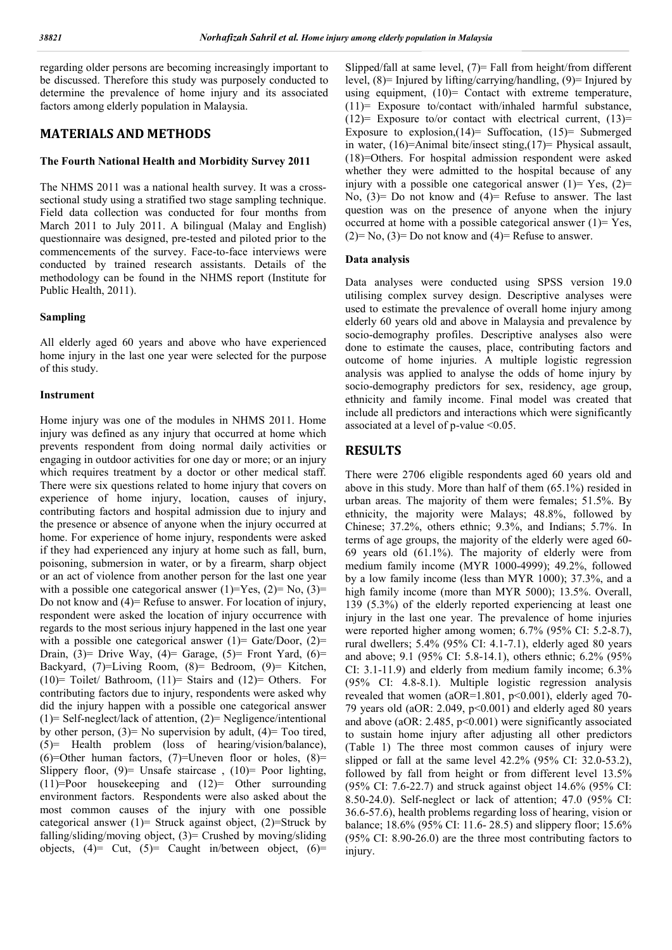regarding older persons are becoming increasingly important to be discussed. Therefore this study was purposely conducted to determine the prevalence of home injury and its associated factors among elderly population in Malaysia.

# MATERIALS AND METHODS

## The Fourth National Health and Morbidity Survey 2011

The NHMS 2011 was a national health survey. It was a crosssectional study using a stratified two stage sampling technique. Field data collection was conducted for four months from March 2011 to July 2011. A bilingual (Malay and English) questionnaire was designed, pre-tested and piloted prior to the commencements of the survey. Face-to-face interviews were conducted by trained research assistants. Details of the methodology can be found in the NHMS report (Institute for Public Health, 2011).

## Sampling

All elderly aged 60 years and above who have experienced home injury in the last one year were selected for the purpose of this study.

#### Instrument

Home injury was one of the modules in NHMS 2011. Home injury was defined as any injury that occurred at home which prevents respondent from doing normal daily activities or engaging in outdoor activities for one day or more; or an injury which requires treatment by a doctor or other medical staff. There were six questions related to home injury that covers on experience of home injury, location, causes of injury, contributing factors and hospital admission due to injury and the presence or absence of anyone when the injury occurred at home. For experience of home injury, respondents were asked if they had experienced any injury at home such as fall, burn, poisoning, submersion in water, or by a firearm, sharp object or an act of violence from another person for the last one year with a possible one categorical answer  $(1)=Y$ es,  $(2)=N_0$ ,  $(3)=$ Do not know and  $(4)$ = Refuse to answer. For location of injury, respondent were asked the location of injury occurrence with regards to the most serious injury happened in the last one year with a possible one categorical answer  $(1)$ = Gate/Door,  $(2)$ = Drain,  $(3)$ = Drive Way,  $(4)$ = Garage,  $(5)$ = Front Yard,  $(6)$ = Backyard, (7)=Living Room, (8)= Bedroom, (9)= Kitchen, (10)= Toilet/ Bathroom, (11)= Stairs and (12)= Others. For contributing factors due to injury, respondents were asked why did the injury happen with a possible one categorical answer (1)= Self-neglect/lack of attention, (2)= Negligence/intentional by other person,  $(3)$ = No supervision by adult,  $(4)$ = Too tired, (5)= Health problem (loss of hearing/vision/balance), (6)=Other human factors,  $(7)$ =Uneven floor or holes,  $(8)$ = Slippery floor,  $(9)$ = Unsafe staircase,  $(10)$ = Poor lighting, (11)=Poor housekeeping and (12)= Other surrounding environment factors. Respondents were also asked about the most common causes of the injury with one possible categorical answer  $(1)$ = Struck against object,  $(2)$ =Struck by falling/sliding/moving object,  $(3)$ = Crushed by moving/sliding objects,  $(4)$ = Cut,  $(5)$ = Caught in/between object,  $(6)$ =

Slipped/fall at same level, (7)= Fall from height/from different level, (8)= Injured by lifting/carrying/handling, (9)= Injured by using equipment,  $(10)$ = Contact with extreme temperature, (11)= Exposure to/contact with/inhaled harmful substance,  $(12)$ = Exposure to/or contact with electrical current,  $(13)$ = Exposure to explosion,  $(14)$ = Suffocation,  $(15)$ = Submerged in water, (16)=Animal bite/insect sting,(17)= Physical assault, (18)=Others. For hospital admission respondent were asked whether they were admitted to the hospital because of any injury with a possible one categorical answer  $(1)$ = Yes,  $(2)$ = No,  $(3)$ = Do not know and  $(4)$ = Refuse to answer. The last question was on the presence of anyone when the injury occurred at home with a possible categorical answer  $(1)$ = Yes,  $(2)=$  No,  $(3)=$  Do not know and  $(4)=$  Refuse to answer.

## Data analysis

Data analyses were conducted using SPSS version 19.0 utilising complex survey design. Descriptive analyses were used to estimate the prevalence of overall home injury among elderly 60 years old and above in Malaysia and prevalence by socio-demography profiles. Descriptive analyses also were done to estimate the causes, place, contributing factors and outcome of home injuries. A multiple logistic regression analysis was applied to analyse the odds of home injury by socio-demography predictors for sex, residency, age group, ethnicity and family income. Final model was created that include all predictors and interactions which were significantly associated at a level of p-value <0.05.

## RESULTS

There were 2706 eligible respondents aged 60 years old and above in this study. More than half of them (65.1%) resided in urban areas. The majority of them were females; 51.5%. By ethnicity, the majority were Malays; 48.8%, followed by Chinese; 37.2%, others ethnic; 9.3%, and Indians; 5.7%. In terms of age groups, the majority of the elderly were aged 60- 69 years old (61.1%). The majority of elderly were from medium family income (MYR 1000-4999); 49.2%, followed by a low family income (less than MYR 1000); 37.3%, and a high family income (more than MYR 5000); 13.5%. Overall, 139 (5.3%) of the elderly reported experiencing at least one injury in the last one year. The prevalence of home injuries were reported higher among women; 6.7% (95% CI: 5.2-8.7), rural dwellers; 5.4% (95% CI: 4.1-7.1), elderly aged 80 years and above; 9.1 (95% CI: 5.8-14.1), others ethnic; 6.2% (95% CI: 3.1-11.9) and elderly from medium family income; 6.3% (95% CI: 4.8-8.1). Multiple logistic regression analysis revealed that women (aOR=1.801, p<0.001), elderly aged 70- 79 years old (aOR:  $2.049$ ,  $p<0.001$ ) and elderly aged 80 years and above (aOR: 2.485, p<0.001) were significantly associated to sustain home injury after adjusting all other predictors (Table 1) The three most common causes of injury were slipped or fall at the same level 42.2% (95% CI: 32.0-53.2), followed by fall from height or from different level 13.5% (95% CI: 7.6-22.7) and struck against object 14.6% (95% CI: 8.50-24.0). Self-neglect or lack of attention; 47.0 (95% CI: 36.6-57.6), health problems regarding loss of hearing, vision or balance; 18.6% (95% CI: 11.6- 28.5) and slippery floor; 15.6% (95% CI: 8.90-26.0) are the three most contributing factors to injury.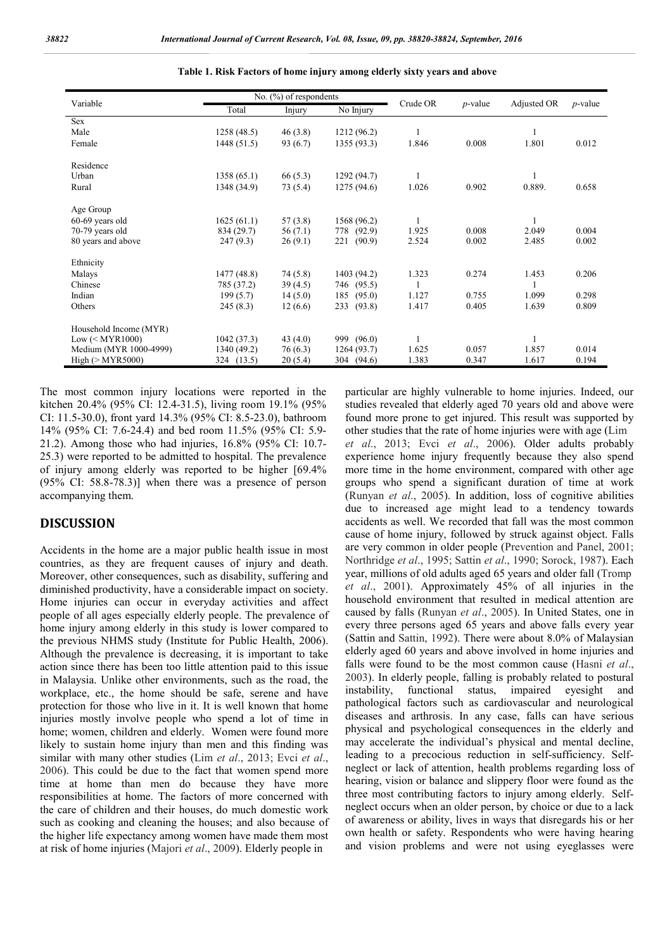| Variable                        | No. $(\%)$ of respondents |            |               |          |            |             |            |
|---------------------------------|---------------------------|------------|---------------|----------|------------|-------------|------------|
|                                 | Total                     | Injury     | No Injury     | Crude OR | $p$ -value | Adjusted OR | $p$ -value |
| Sex                             |                           |            |               |          |            |             |            |
| Male                            | 1258(48.5)                | 46(3.8)    | 1212 (96.2)   |          |            |             |            |
| Female                          | 1448 (51.5)               | 93 (6.7)   | 1355 (93.3)   | 1.846    | 0.008      | 1.801       | 0.012      |
| Residence                       |                           |            |               |          |            |             |            |
| Urban                           | 1358(65.1)                | 66(5.3)    | 1292 (94.7)   |          |            |             |            |
| Rural                           | 1348 (34.9)               | 73 (5.4)   | 1275(94.6)    | 1.026    | 0.902      | 0.889.      | 0.658      |
| Age Group                       |                           |            |               |          |            |             |            |
| $60-69$ years old               | 1625(61.1)                | 57(3.8)    | 1568 (96.2)   |          |            |             |            |
| 70-79 years old                 | 834 (29.7)                | 56(7.1)    | 778 (92.9)    | 1.925    | 0.008      | 2.049       | 0.004      |
| 80 years and above              | 247(9.3)                  | 26(9.1)    | (90.9)<br>221 | 2.524    | 0.002      | 2.485       | 0.002      |
| Ethnicity                       |                           |            |               |          |            |             |            |
| Malays                          | 1477(48.8)                | 74 (5.8)   | 1403 (94.2)   | 1.323    | 0.274      | 1.453       | 0.206      |
| Chinese                         | 785 (37.2)                | 39(4.5)    | 746 (95.5)    |          |            |             |            |
| Indian                          | 199(5.7)                  | 14(5.0)    | (95.0)<br>185 | 1.127    | 0.755      | 1.099       | 0.298      |
| Others                          | 245(8.3)                  | 12(6.6)    | (93.8)<br>233 | 1.417    | 0.405      | 1.639       | 0.809      |
| Household Income (MYR)          |                           |            |               |          |            |             |            |
| $Low \left(\leq MYR1000\right)$ | 1042(37.3)                | 43 $(4.0)$ | 999 (96.0)    |          |            |             |            |
| Medium (MYR 1000-4999)          | 1340 (49.2)               | 76(6.3)    | 1264(93.7)    | 1.625    | 0.057      | 1.857       | 0.014      |
| High $(>MYR5000)$               | 324 (13.5)                | 20(5.4)    | 304 (94.6)    | 1.383    | 0.347      | 1.617       | 0.194      |

|  |  | Table 1. Risk Factors of home injury among elderly sixty years and above |
|--|--|--------------------------------------------------------------------------|
|  |  |                                                                          |

The most common injury locations were reported in the kitchen 20.4% (95% CI: 12.4-31.5), living room 19.1% (95% CI: 11.5-30.0), front yard 14.3% (95% CI: 8.5-23.0), bathroom 14% (95% CI: 7.6-24.4) and bed room 11.5% (95% CI: 5.9- 21.2). Among those who had injuries, 16.8% (95% CI: 10.7- 25.3) were reported to be admitted to hospital. The prevalence of injury among elderly was reported to be higher [69.4% (95% CI: 58.8-78.3)] when there was a presence of person accompanying them.

# DISCUSSION

Accidents in the home are a major public health issue in most countries, as they are frequent causes of injury and death. Moreover, other consequences, such as disability, suffering and diminished productivity, have a considerable impact on society. Home injuries can occur in everyday activities and affect people of all ages especially elderly people. The prevalence of home injury among elderly in this study is lower compared to the previous NHMS study (Institute for Public Health, 2006). Although the prevalence is decreasing, it is important to take action since there has been too little attention paid to this issue in Malaysia. Unlike other environments, such as the road, the workplace, etc., the home should be safe, serene and have protection for those who live in it. It is well known that home injuries mostly involve people who spend a lot of time in home; women, children and elderly. Women were found more likely to sustain home injury than men and this finding was similar with many other studies (Lim *et al*., 2013; Evci *et al*., 2006). This could be due to the fact that women spend more time at home than men do because they have more responsibilities at home. The factors of more concerned with the care of children and their houses, do much domestic work such as cooking and cleaning the houses; and also because of the higher life expectancy among women have made them most at risk of home injuries (Majori *et al*., 2009). Elderly people in

particular are highly vulnerable to home injuries. Indeed, our studies revealed that elderly aged 70 years old and above were found more prone to get injured. This result was supported by other studies that the rate of home injuries were with age (Lim *et al*., 2013; Evci *et al*., 2006). Older adults probably experience home injury frequently because they also spend more time in the home environment, compared with other age groups who spend a significant duration of time at work (Runyan *et al*., 2005). In addition, loss of cognitive abilities due to increased age might lead to a tendency towards accidents as well. We recorded that fall was the most common cause of home injury, followed by struck against object. Falls are very common in older people (Prevention and Panel, 2001; Northridge *et al*., 1995; Sattin *et al*., 1990; Sorock, 1987). Each year, millions of old adults aged 65 years and older fall (Tromp *et al*., 2001). Approximately 45% of all injuries in the household environment that resulted in medical attention are caused by falls (Runyan *et al*., 2005). In United States, one in every three persons aged 65 years and above falls every year (Sattin and Sattin, 1992). There were about 8.0% of Malaysian elderly aged 60 years and above involved in home injuries and falls were found to be the most common cause (Hasni *et al*., 2003). In elderly people, falling is probably related to postural instability, functional status, impaired eyesight and pathological factors such as cardiovascular and neurological diseases and arthrosis. In any case, falls can have serious physical and psychological consequences in the elderly and may accelerate the individual's physical and mental decline, leading to a precocious reduction in self-sufficiency. Selfneglect or lack of attention, health problems regarding loss of hearing, vision or balance and slippery floor were found as the three most contributing factors to injury among elderly. Selfneglect occurs when an older person, by choice or due to a lack of awareness or ability, lives in ways that disregards his or her own health or safety. Respondents who were having hearing and vision problems and were not using eyeglasses were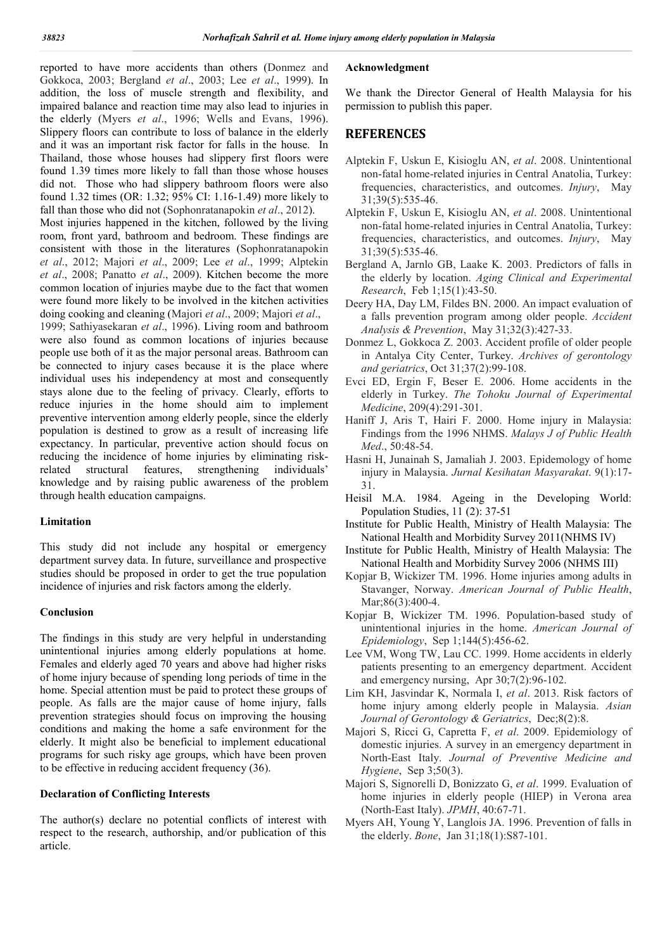reported to have more accidents than others (Donmez and Gokkoca, 2003; Bergland *et al*., 2003; Lee *et al*., 1999). In addition, the loss of muscle strength and flexibility, and impaired balance and reaction time may also lead to injuries in the elderly (Myers *et al*., 1996; Wells and Evans, 1996). Slippery floors can contribute to loss of balance in the elderly and it was an important risk factor for falls in the house. In Thailand, those whose houses had slippery first floors were found 1.39 times more likely to fall than those whose houses did not. Those who had slippery bathroom floors were also found 1.32 times (OR: 1.32; 95% CI: 1.16-1.49) more likely to fall than those who did not (Sophonratanapokin *et al*., 2012). Most injuries happened in the kitchen, followed by the living room, front yard, bathroom and bedroom. These findings are consistent with those in the literatures (Sophonratanapokin *et al*., 2012; Majori *et al*., 2009; Lee *et al*., 1999; Alptekin *et al*., 2008; Panatto *et al*., 2009). Kitchen become the more common location of injuries maybe due to the fact that women were found more likely to be involved in the kitchen activities doing cooking and cleaning (Majori *et al*., 2009; Majori *et al*., 1999; Sathiyasekaran *et al*., 1996). Living room and bathroom were also found as common locations of injuries because people use both of it as the major personal areas. Bathroom can be connected to injury cases because it is the place where individual uses his independency at most and consequently stays alone due to the feeling of privacy. Clearly, efforts to reduce injuries in the home should aim to implement preventive intervention among elderly people, since the elderly population is destined to grow as a result of increasing life expectancy. In particular, preventive action should focus on reducing the incidence of home injuries by eliminating riskrelated structural features, strengthening individuals' knowledge and by raising public awareness of the problem

# through health education campaigns.

## Limitation

This study did not include any hospital or emergency department survey data. In future, surveillance and prospective studies should be proposed in order to get the true population incidence of injuries and risk factors among the elderly.

## Conclusion

The findings in this study are very helpful in understanding unintentional injuries among elderly populations at home. Females and elderly aged 70 years and above had higher risks of home injury because of spending long periods of time in the home. Special attention must be paid to protect these groups of people. As falls are the major cause of home injury, falls prevention strategies should focus on improving the housing conditions and making the home a safe environment for the elderly. It might also be beneficial to implement educational programs for such risky age groups, which have been proven to be effective in reducing accident frequency (36).

## Declaration of Conflicting Interests

The author(s) declare no potential conflicts of interest with respect to the research, authorship, and/or publication of this article.

## Acknowledgment

We thank the Director General of Health Malaysia for his permission to publish this paper.

# **REFERENCES**

- Alptekin F, Uskun E, Kisioglu AN, *et al*. 2008. Unintentional non-fatal home-related injuries in Central Anatolia, Turkey: frequencies, characteristics, and outcomes. *Injury*, May 31;39(5):535-46.
- Alptekin F, Uskun E, Kisioglu AN, *et al*. 2008. Unintentional non-fatal home-related injuries in Central Anatolia, Turkey: frequencies, characteristics, and outcomes. *Injury*, May 31;39(5):535-46.
- Bergland A, Jarnlo GB, Laake K. 2003. Predictors of falls in the elderly by location. *Aging Clinical and Experimental Research*, Feb 1;15(1):43-50.
- Deery HA, Day LM, Fildes BN. 2000. An impact evaluation of a falls prevention program among older people. *Accident Analysis & Prevention*, May 31;32(3):427-33.
- Donmez L, Gokkoca Z. 2003. Accident profile of older people in Antalya City Center, Turkey. *Archives of gerontology and geriatrics*, Oct 31;37(2):99-108.
- Evci ED, Ergin F, Beser E. 2006. Home accidents in the elderly in Turkey. *The Tohoku Journal of Experimental Medicine*, 209(4):291-301.
- Haniff J, Aris T, Hairi F. 2000. Home injury in Malaysia: Findings from the 1996 NHMS. *Malays J of Public Health Med*., 50:48-54.
- Hasni H, Junainah S, Jamaliah J. 2003. Epidemology of home injury in Malaysia. *Jurnal Kesihatan Masyarakat*. 9(1):17- 31.
- Heisil M.A. 1984. Ageing in the Developing World: Population Studies, 11 (2): 37-51
- Institute for Public Health, Ministry of Health Malaysia: The National Health and Morbidity Survey 2011(NHMS IV)
- Institute for Public Health, Ministry of Health Malaysia: The National Health and Morbidity Survey 2006 (NHMS III)
- Kopjar B, Wickizer TM. 1996. Home injuries among adults in Stavanger, Norway. *American Journal of Public Health*, Mar; 86(3): 400-4.
- Kopjar B, Wickizer TM. 1996. Population-based study of unintentional injuries in the home. *American Journal of Epidemiology*, Sep 1;144(5):456-62.
- Lee VM, Wong TW, Lau CC. 1999. Home accidents in elderly patients presenting to an emergency department. Accident and emergency nursing, Apr 30;7(2):96-102.
- Lim KH, Jasvindar K, Normala I, *et al*. 2013. Risk factors of home injury among elderly people in Malaysia. *Asian Journal of Gerontology & Geriatrics*, Dec;8(2):8.
- Majori S, Ricci G, Capretta F, *et al*. 2009. Epidemiology of domestic injuries. A survey in an emergency department in North-East Italy. *Journal of Preventive Medicine and Hygiene*, Sep 3;50(3).
- Majori S, Signorelli D, Bonizzato G, *et al*. 1999. Evaluation of home injuries in elderly people (HIEP) in Verona area (North-East Italy). *JPMH*, 40:67-71.
- Myers AH, Young Y, Langlois JA. 1996. Prevention of falls in the elderly. *Bone*, Jan 31;18(1):S87-101.